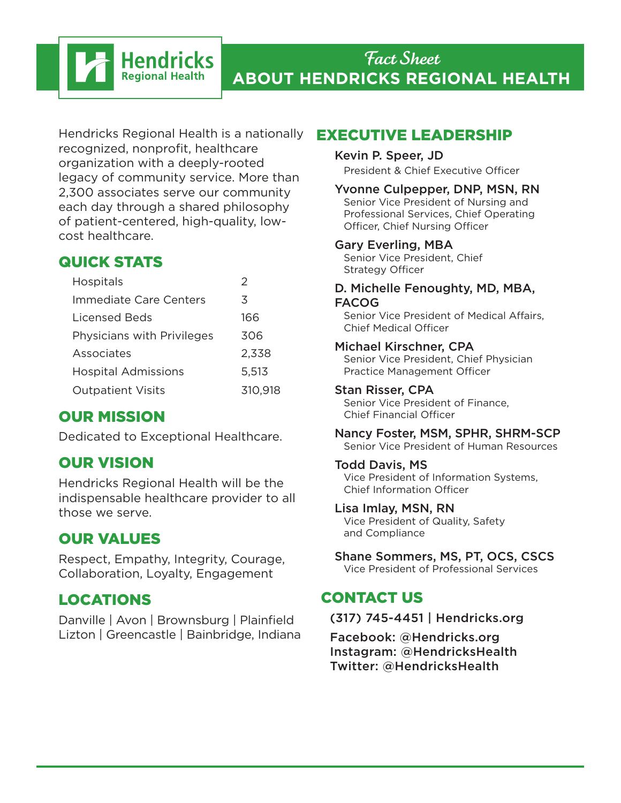# Fact Sheet **ABOUT HENDRICKS REGIONAL HEALTH**

Hendricks Regional Health is a nationally recognized, nonprofit, healthcare organization with a deeply-rooted legacy of community service. More than 2,300 associates serve our community each day through a shared philosophy of patient-centered, high-quality, lowcost healthcare.

**Hendricks Regional Health** 

# QUICK STATS

| <b>Hospitals</b>           | 2       |
|----------------------------|---------|
| Immediate Care Centers     | 3       |
| Licensed Beds              | 166     |
| Physicians with Privileges | 306     |
| Associates                 | 2,338   |
| <b>Hospital Admissions</b> | 5,513   |
| <b>Outpatient Visits</b>   | 310,918 |
|                            |         |

# OUR MISSION

Dedicated to Exceptional Healthcare.

# OUR VISION

Hendricks Regional Health will be the indispensable healthcare provider to all those we serve.

# OUR VALUES

Respect, Empathy, Integrity, Courage, Collaboration, Loyalty, Engagement

# LOCATIONS

Danville | Avon | Brownsburg | Plainfield Lizton | Greencastle | Bainbridge, Indiana

### EXECUTIVE LEADERSHIP

#### Kevin P. Speer, JD

President & Chief Executive Officer

#### Yvonne Culpepper, DNP, MSN, RN

Senior Vice President of Nursing and Professional Services, Chief Operating Officer, Chief Nursing Officer

#### Gary Everling, MBA

Senior Vice President, Chief Strategy Officer

#### D. Michelle Fenoughty, MD, MBA, FACOG

Senior Vice President of Medical Affairs, Chief Medical Officer

### Michael Kirschner, CPA

Senior Vice President, Chief Physician Practice Management Officer

#### Stan Risser, CPA

Senior Vice President of Finance, Chief Financial Officer

Nancy Foster, MSM, SPHR, SHRM-SCP Senior Vice President of Human Resources

#### Todd Davis, MS

Vice President of Information Systems, Chief Information Officer

#### Lisa Imlay, MSN, RN

Vice President of Quality, Safety and Compliance

#### Shane Sommers, MS, PT, OCS, CSCS Vice President of Professional Services

### CONTACT US

### (317) 745-4451 | Hendricks.org

Facebook: @Hendricks.org Instagram: @HendricksHealth Twitter: @HendricksHealth